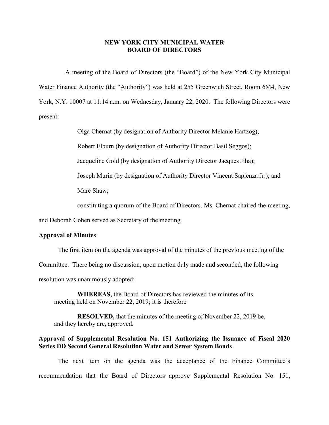## **NEW YORK CITY MUNICIPAL WATER BOARD OF DIRECTORS**

A meeting of the Board of Directors (the "Board") of the New York City Municipal Water Finance Authority (the "Authority") was held at 255 Greenwich Street, Room 6M4, New York, N.Y. 10007 at 11:14 a.m. on Wednesday, January 22, 2020. The following Directors were present:

Olga Chernat (by designation of Authority Director Melanie Hartzog);

Robert Elburn (by designation of Authority Director Basil Seggos);

Jacqueline Gold (by designation of Authority Director Jacques Jiha);

Joseph Murin (by designation of Authority Director Vincent Sapienza Jr.); and

Marc Shaw;

constituting a quorum of the Board of Directors. Ms. Chernat chaired the meeting,

and Deborah Cohen served as Secretary of the meeting.

## **Approval of Minutes**

The first item on the agenda was approval of the minutes of the previous meeting of the

Committee. There being no discussion, upon motion duly made and seconded, the following

resolution was unanimously adopted:

**WHEREAS,** the Board of Directors has reviewed the minutes of its meeting held on November 22, 2019; it is therefore

**RESOLVED,** that the minutes of the meeting of November 22, 2019 be, and they hereby are, approved.

## **Approval of Supplemental Resolution No. 151 Authorizing the Issuance of Fiscal 2020 Series DD Second General Resolution Water and Sewer System Bonds**

The next item on the agenda was the acceptance of the Finance Committee's recommendation that the Board of Directors approve Supplemental Resolution No. 151,